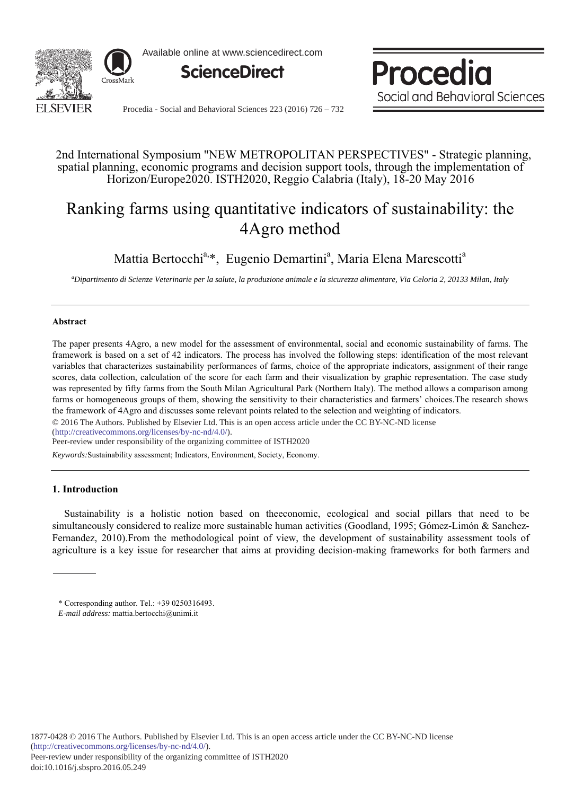

Available online at www.sciencedirect.com



Procedia Social and Behavioral Sciences

Procedia - Social and Behavioral Sciences 223 (2016) 726 - 732

## 2nd International Symposium "NEW METROPOLITAN PERSPECTIVES" - Strategic planning, spatial planning, economic programs and decision support tools, through the implementation of Horizon/Europe2020. ISTH2020, Reggio Calabria (Italy), 18-20 May 2016

# Ranking farms using quantitative indicators of sustainability: the 4Agro method

Mattia Bertocchi<sup>a,\*</sup>, Eugenio Demartini<sup>a</sup>, Maria Elena Marescotti<sup>a</sup>

*a Dipartimento di Scienze Veterinarie per la salute, la produzione animale e la sicurezza alimentare, Via Celoria 2, 20133 Milan, Italy* 

## **Abstract**

The paper presents 4Agro, a new model for the assessment of environmental, social and economic sustainability of farms. The framework is based on a set of 42 indicators. The process has involved the following steps: identification of the most relevant variables that characterizes sustainability performances of farms, choice of the appropriate indicators, assignment of their range scores, data collection, calculation of the score for each farm and their visualization by graphic representation. The case study was represented by fifty farms from the South Milan Agricultural Park (Northern Italy). The method allows a comparison among farms or homogeneous groups of them, showing the sensitivity to their characteristics and farmers' choices. The research shows the framework of 4Agro and discusses some relevant points related to the selection and weighting of indicators.

© 2016 The Authors. Published by Elsevier Ltd. This is an open access article under the CC BY-NC-ND license (http://creativecommons.org/licenses/by-nc-nd/4.0/).

Peer-review under responsibility of the organizing committee of ISTH2020

Keywords:Sustainability assessment; Indicators, Environment, Society, Economy.

## **1.** Introduction

Sustainability is a holistic notion based on theeconomic, ecological and social pillars that need to be simultaneously considered to realize more sustainable human activities (Goodland, 1995; Gómez-Limón & Sanchez-Fernandez, 2010). From the methodological point of view, the development of sustainability assessment tools of agriculture is a key issue for researcher that aims at providing decision-making frameworks for both farmers and

<sup>\*</sup> Corresponding author. Tel.: +39 0250316493.

*E-mail address:* mattia.bertocchi@unimi.it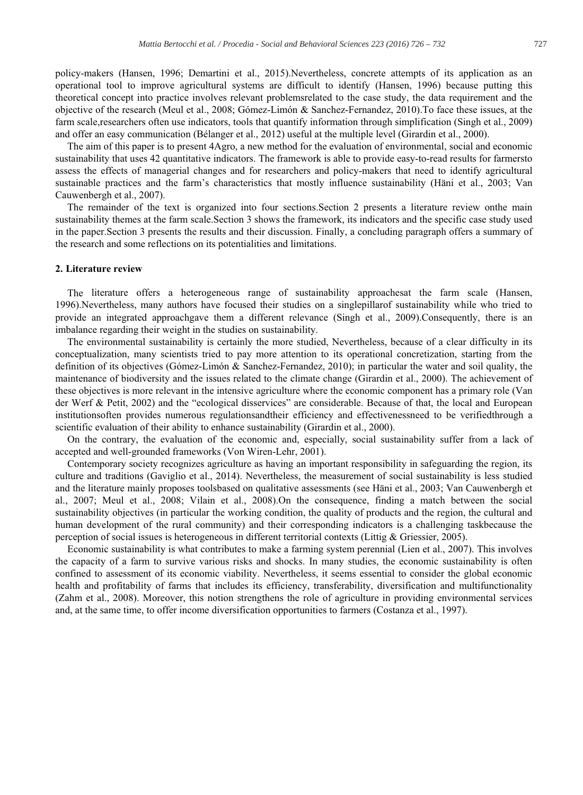policy-makers (Hansen, 1996; Demartini et al., 2015). Nevertheless, concrete attempts of its application as an operational tool to improve agricultural systems are difficult to identify (Hansen, 1996) because putting this theoretical concept into practice involves relevant problemsrelated to the case study, the data requirement and the objective of the research (Meul et al., 2008; Gómez-Limón & Sanchez-Fernandez, 2010). To face these issues, at the farm scale researchers often use indicators, tools that quantify information through simplification (Singh et al., 2009) and offer an easy communication (Bélanger et al., 2012) useful at the multiple level (Girardin et al., 2000).

The aim of this paper is to present 4Agro, a new method for the evaluation of environmental, social and economic sustainability that uses 42 quantitative indicators. The framework is able to provide easy-to-read results for farmersto assess the effects of managerial changes and for researchers and policy-makers that need to identify agricultural sustainable practices and the farm's characteristics that mostly influence sustainability (Häni et al., 2003; Van Cauwenbergh et al., 2007).

The remainder of the text is organized into four sections. Section 2 presents a literature review onthe main sustainability themes at the farm scale. Section 3 shows the framework, its indicators and the specific case study used in the paper. Section 3 presents the results and their discussion. Finally, a concluding paragraph offers a summary of the research and some reflections on its potentialities and limitations.

## 2. Literature review

The literature offers a heterogeneous range of sustainability approaches at the farm scale (Hansen, 1996).Nevertheless, many authors have focused their studies on a singlepillarof sustainability while who tried to provide an integrated approachgave them a different relevance (Singh et al., 2009). Consequently, there is an imbalance regarding their weight in the studies on sustainability.

The environmental sustainability is certainly the more studied, Nevertheless, because of a clear difficulty in its conceptualization, many scientists tried to pay more attention to its operational concretization, starting from the definition of its objectives (Gómez-Limón & Sanchez-Fernandez, 2010); in particular the water and soil quality, the maintenance of biodiversity and the issues related to the climate change (Girardin et al., 2000). The achievement of these objectives is more relevant in the intensive agriculture where the economic component has a primary role (Van der Werf & Petit, 2002) and the "ecological disservices" are considerable. Because of that, the local and European institutions often provides numerous regulations and their efficiency and effectiveness need to be verified through a scientific evaluation of their ability to enhance sustainability (Girardin et al., 2000).

On the contrary, the evaluation of the economic and, especially, social sustainability suffer from a lack of accepted and well-grounded frameworks (Von Wiren-Lehr, 2001).

Contemporary society recognizes agriculture as having an important responsibility in safeguarding the region, its culture and traditions (Gaviglio et al., 2014). Nevertheless, the measurement of social sustainability is less studied and the literature mainly proposes toolsbased on qualitative assessments (see Häni et al., 2003; Van Cauwenbergh et al., 2007; Meul et al., 2008; Vilain et al., 2008). On the consequence, finding a match between the social sustainability objectives (in particular the working condition, the quality of products and the region, the cultural and human development of the rural community) and their corresponding indicators is a challenging taskbecause the perception of social issues is heterogeneous in different territorial contexts (Littig  $\&$  Griessier, 2005).

Economic sustainability is what contributes to make a farming system perennial (Lien et al., 2007). This involves the capacity of a farm to survive various risks and shocks. In many studies, the economic sustainability is often confined to assessment of its economic viability. Nevertheless, it seems essential to consider the global economic health and profitability of farms that includes its efficiency, transferability, diversification and multifunctionality (Zahm et al., 2008). Moreover, this notion strengthens the role of agriculture in providing environmental services and, at the same time, to offer income diversification opportunities to farmers (Costanza et al., 1997).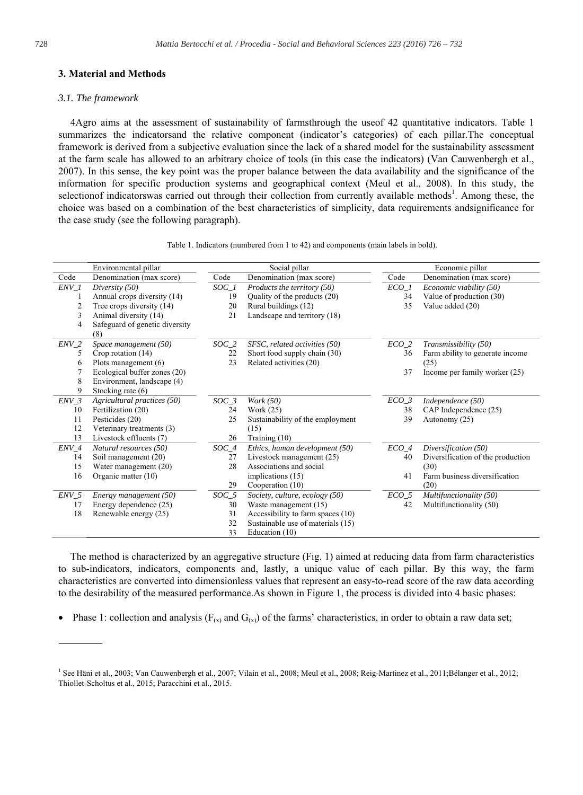## 3. Material and Methods

#### 3.1. The framework

4Agro aims at the assessment of sustainability of farmsthrough the useof 42 quantitative indicators. Table 1 summarizes the indicators and the relative component (indicator's categories) of each pillar. The conceptual framework is derived from a subjective evaluation since the lack of a shared model for the sustainability assessment at the farm scale has allowed to an arbitrary choice of tools (in this case the indicators) (Van Cauwenbergh et al., 2007). In this sense, the key point was the proper balance between the data availability and the significance of the information for specific production systems and geographical context (Meul et al., 2008). In this study, the selection of indicators was carried out through their collection from currently available methods<sup>1</sup>. Among these, the choice was based on a combination of the best characteristics of simplicity, data requirements and significance for the case study (see the following paragraph).

|         | Environmental pillar           | Social pillar |                                   | Economic pillar  |                                   |
|---------|--------------------------------|---------------|-----------------------------------|------------------|-----------------------------------|
| Code    | Denomination (max score)       | Code          | Denomination (max score)          | Code             | Denomination (max score)          |
| ENV 1   | Diversity (50)                 | SOC 1         | Products the territory (50)       | ECO 1            | Economic viability (50)           |
| 1       | Annual crops diversity (14)    | 19            | Quality of the products (20)      | 34               | Value of production (30)          |
| 2       | Tree crops diversity (14)      | 20            | Rural buildings (12)              | 35               | Value added (20)                  |
| 3       | Animal diversity (14)          | 21            | Landscape and territory (18)      |                  |                                   |
| 4       | Safeguard of genetic diversity |               |                                   |                  |                                   |
|         | (8)                            |               |                                   |                  |                                   |
| $ENV_2$ | Space management (50)          | $SOC_2$       | SFSC, related activities (50)     | $ECO_2$          | Transmissibility (50)             |
| 5       | Crop rotation (14)             | 22            | Short food supply chain (30)      | 36               | Farm ability to generate income   |
| 6       | Plots management $(6)$         | 23            | Related activities (20)           |                  | (25)                              |
| 7       | Ecological buffer zones (20)   |               |                                   | 37               | Income per family worker (25)     |
| 8       | Environment, landscape (4)     |               |                                   |                  |                                   |
| 9       | Stocking rate (6)              |               |                                   |                  |                                   |
| ENV 3   | Agricultural practices (50)    | $SOC_3$       | Work (50)                         | $ECO_3$          | Independence (50)                 |
| 10      | Fertilization (20)             | 24            | Work (25)                         | 38               | CAP Independence (25)             |
| 11      | Pesticides (20)                | 25            | Sustainability of the employment  | 39               | Autonomy (25)                     |
| 12      | Veterinary treatments (3)      |               | (15)                              |                  |                                   |
| 13      | Livestock effluents (7)        | 26            | Training $(10)$                   |                  |                                   |
| ENV 4   | Natural resources (50)         | $SOC_4$       | Ethics, human development (50)    | $ECO_4$          | Diversification (50)              |
| 14      | Soil management (20)           | 27            | Livestock management (25)         | 40               | Diversification of the production |
| 15      | Water management (20)          | 28            | Associations and social           |                  | (30)                              |
| 16      | Organic matter (10)            |               | implications (15)                 | 41               | Farm business diversification     |
|         |                                | 29            | Cooperation (10)                  |                  | (20)                              |
| $ENV_5$ | Energy management (50)         | $SOC_5$       | Society, culture, ecology (50)    | ECO <sub>5</sub> | Multifunctionality (50)           |
| 17      | Energy dependence (25)         | 30            | Waste management (15)             | 42               | Multifunctionality (50)           |
| 18      | Renewable energy (25)          | 31            | Accessibility to farm spaces (10) |                  |                                   |
|         |                                | 32            | Sustainable use of materials (15) |                  |                                   |
|         |                                | 33            | Education (10)                    |                  |                                   |

Table 1. Indicators (numbered from 1 to 42) and components (main labels in bold).

The method is characterized by an aggregative structure (Fig. 1) aimed at reducing data from farm characteristics to sub-indicators, indicators, components and, lastly, a unique value of each pillar. By this way, the farm characteristics are converted into dimensionless values that represent an easy-to-read score of the raw data according to the desirability of the measured performance. As shown in Figure 1, the process is divided into 4 basic phases:

Phase 1: collection and analysis ( $F_{(x)}$  and  $G_{(x)}$ ) of the farms' characteristics, in order to obtain a raw data set;

<sup>&</sup>lt;sup>1</sup> See Häni et al., 2003; Van Cauwenbergh et al., 2007; Vilain et al., 2008; Meul et al., 2008; Reig-Martinez et al., 2011; Bélanger et al., 2012; Thiollet-Scholtus et al., 2015; Paracchini et al., 2015.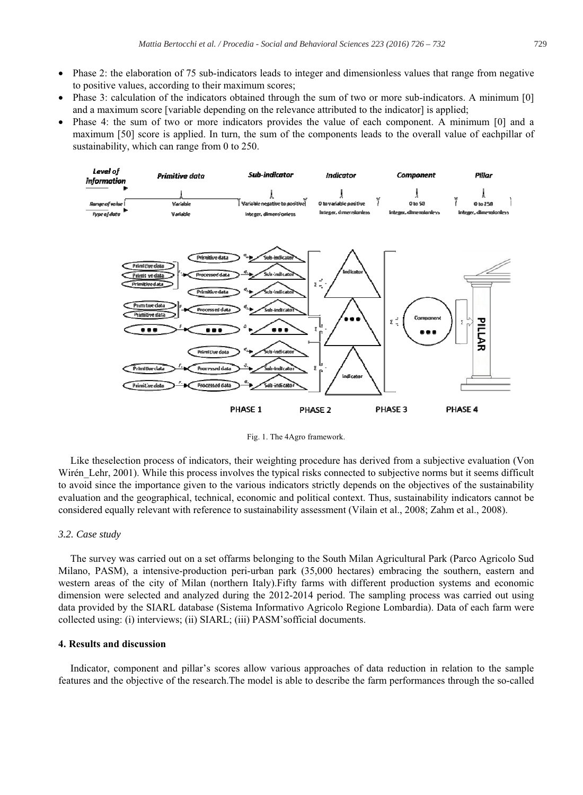- Phase 2: the elaboration of 75 sub-indicators leads to integer and dimensionless values that range from negative to positive values, according to their maximum scores;
- Phase 3: calculation of the indicators obtained through the sum of two or more sub-indicators. A minimum [0] and a maximum score [variable depending on the relevance attributed to the indicator] is applied;
- Phase 4: the sum of two or more indicators provides the value of each component. A minimum [0] and a maximum [50] score is applied. In turn, the sum of the components leads to the overall value of eachpillar of sustainability, which can range from 0 to 250.



Fig. 1. The 4Agro framework.

Like theselection process of indicators, their weighting procedure has derived from a subjective evaluation (Von Wirén Lehr, 2001). While this process involves the typical risks connected to subjective norms but it seems difficult to avoid since the importance given to the various indicators strictly depends on the objectives of the sustainability evaluation and the geographical, technical, economic and political context. Thus, sustainability indicators cannot be considered equally relevant with reference to sustainability assessment (Vilain et al., 2008; Zahm et al., 2008).

#### *3.2. Case study*

The survey was carried out on a set offarms belonging to the South Milan Agricultural Park (Parco Agricolo Sud Milano, PASM), a intensive-production peri-urban park (35,000 hectares) embracing the southern, eastern and western areas of the city of Milan (northern Italy). Fifty farms with different production systems and economic dimension were selected and analyzed during the 2012-2014 period. The sampling process was carried out using data provided by the SIARL database (Sistema Informativo Agricolo Regione Lombardia). Data of each farm were collected using: (i) interviews; (ii) SIARL; (iii) PASM's official documents.

## **4. Results and discussion**

Indicator, component and pillar's scores allow various approaches of data reduction in relation to the sample features and the objective of the research. The model is able to describe the farm performances through the so-called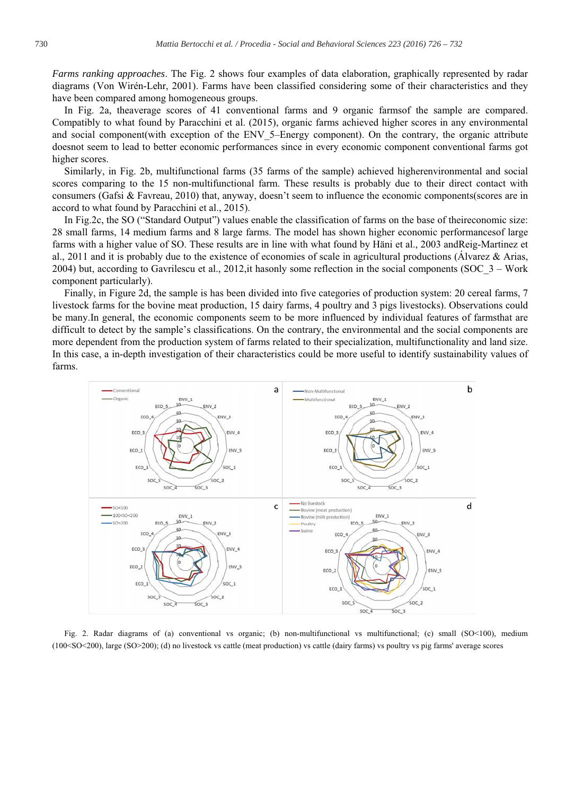*Farms ranking approaches.* The Fig. 2 shows four examples of data elaboration, graphically represented by radar diagrams (Von Wirén-Lehr, 2001). Farms have been classified considering some of their characteristics and they have been compared among homogeneous groups.

In Fig. 2a, the average scores of 41 conventional farms and 9 organic farms of the sample are compared. Compatibly to what found by Paracchini et al. (2015), organic farms achieved higher scores in any environmental and social component(with exception of the ENV 5-Energy component). On the contrary, the organic attribute doesnot seem to lead to better economic performances since in every economic component conventional farms got higher scores.

Similarly, in Fig. 2b, multifunctional farms (35 farms of the sample) achieved higherenvironmental and social scores comparing to the 15 non-multifunctional farm. These results is probably due to their direct contact with consumers (Gafsi & Favreau, 2010) that, anyway, doesn't seem to influence the economic components (scores are in accord to what found by Paracchini et al., 2015).

In Fig. 2c, the SO ("Standard Output") values enable the classification of farms on the base of theireconomic size: 28 small farms, 14 medium farms and 8 large farms. The model has shown higher economic performances of large farms with a higher value of SO. These results are in line with what found by Häni et al., 2003 andReig-Martinez et al., 2011 and it is probably due to the existence of economies of scale in agricultural productions (Alvarez & Arias, 2004) but, according to Gavrilescu et al., 2012, it has only some reflection in the social components (SOC  $3$  – Work component particularly).

Finally, in Figure 2d, the sample is has been divided into five categories of production system: 20 cereal farms, 7 livestock farms for the bovine meat production, 15 dairy farms, 4 poultry and 3 pigs livestocks). Observations could be many.In general, the economic components seem to be more influenced by individual features of farmsthat are difficult to detect by the sample's classifications. On the contrary, the environmental and the social components are more dependent from the production system of farms related to their specialization, multifunctionality and land size. In this case, a in-depth investigation of their characteristics could be more useful to identify sustainability values of farms.



Fig. 2. Radar diagrams of (a) conventional vs organic; (b) non-multifunctional vs multifunctional; (c) small  $(SO < 100)$ , medium (100<SO<200), large (SO>200); (d) no livestock vs cattle (meat production) vs cattle (dairy farms) vs poultry vs pig farms' average scores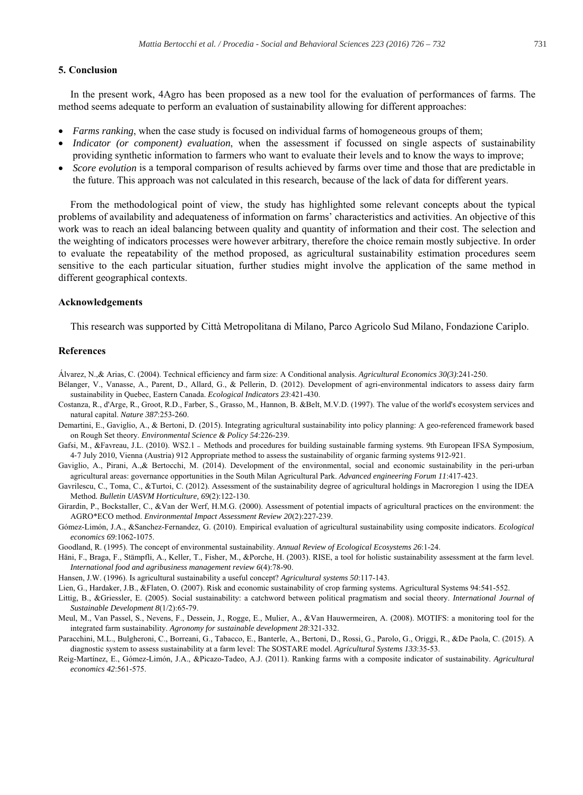## **5. Conclusion**

In the present work, 4Agro has been proposed as a new tool for the evaluation of performances of farms. The method seems adequate to perform an evaluation of sustainability allowing for different approaches:

- *Farms ranking*, when the case study is focused on individual farms of homogeneous groups of them;
- *Indicator (or component) evaluation*, when the assessment if focussed on single aspects of sustainability providing synthetic information to farmers who want to evaluate their levels and to know the ways to improve;
- *Score evolution* is a temporal comparison of results achieved by farms over time and those that are predictable in the future. This approach was not calculated in this research, because of the lack of data for different years.

From the methodological point of view, the study has highlighted some relevant concepts about the typical problems of availability and adequateness of information on farms' characteristics and activities. An objective of this work was to reach an ideal balancing between quality and quantity of information and their cost. The selection and the weighting of indicators processes were however arbitrary, therefore the choice remain mostly subjective. In order to evaluate the repeatability of the method proposed, as agricultural sustainability estimation procedures seem sensitive to the each particular situation, further studies might involve the application of the same method in different geographical contexts.

#### **Acknowledgements**

This research was supported by Città Metropolitana di Milano, Parco Agricolo Sud Milano, Fondazione Cariplo.

## **References**

Álvarez, N.,& Arias, C. (2004). Technical efficiency and farm size: A Conditional analysis. Agricultural Economics 30(3):241-250.

- Bélanger, V., Vanasse, A., Parent, D., Allard, G., & Pellerin, D. (2012). Development of agri-environmental indicators to assess dairy farm sustainability in Quebec, Eastern Canada. Ecological Indicators 23:421-430.
- Costanza, R., d'Arge, R., Groot, R.D., Farber, S., Grasso, M., Hannon, B. &Belt, M.V.D. (1997). The value of the world's ecosystem services and natural capital. Nature 387:253-260.
- Demartini, E., Gaviglio, A., & Bertoni, D. (2015). Integrating agricultural sustainability into policy planning: A geo-referenced framework based on Rough Set theory. *Environmental Science & Policy 54:226-239*.
- Gafsi, M., &Favreau, J.L. (2010). WS2.1 Methods and procedures for building sustainable farming systems. 9th European IFSA Symposium, 4-7 July 2010, Vienna (Austria) 912 Appropriate method to assess the sustainability of organic farming systems 912-921.
- Gaviglio, A., Pirani, A.,& Bertocchi, M. (2014). Development of the environmental, social and economic sustainability in the peri-urban agricultural areas: governance opportunities in the South Milan Agricultural Park. Advanced engineering Forum 11:417-423.
- Gavrilescu, C., Toma, C., &Turtoi, C. (2012). Assessment of the sustainability degree of agricultural holdings in Macroregion 1 using the IDEA Method. Bulletin UASVM Horticulture, 69(2):122-130.
- Girardin, P., Bockstaller, C., & Van der Werf, H.M.G. (2000). Assessment of potential impacts of agricultural practices on the environment: the AGRO\*ECO method. Environmental Impact Assessment Review 20(2):227-239.
- Gómez-Limón, J.A., &Sanchez-Fernandez, G. (2010). Empirical evaluation of agricultural sustainability using composite indicators. *Ecological economics 69*
- Goodland, R. (1995). The concept of environmental sustainability. Annual Review of Ecological Ecosystems 26:1-24.
- Häni, F., Braga, F., Stämpfli, A., Keller, T., Fisher, M., &Porche, H. (2003). RISE, a tool for holistic sustainability assessment at the farm level. *International food and agribusiness management review 6*
- Hansen, J.W. (1996). Is agricultural sustainability a useful concept? Agricultural systems 50:117-143.
- Lien, G., Hardaker, J.B., &Flaten, O. (2007). Risk and economic sustainability of crop farming systems. Agricultural Systems 94:541-552.
- Littig, B., &Griessler, E. (2005). Social sustainability: a catchword between political pragmatism and social theory. International Journal of *Sustainable Development 8*
- Meul, M., Van Passel, S., Nevens, F., Dessein, J., Rogge, E., Mulier, A., &Van Hauwermeiren, A. (2008). MOTIFS: a monitoring tool for the integrated farm sustainability. Agronomy for sustainable development 28:321-332.
- Paracchini, M.L., Bulgheroni, C., Borreani, G., Tabacco, E., Banterle, A., Bertoni, D., Rossi, G., Parolo, G., Origgi, R., &De Paola, C. (2015). A diagnostic system to assess sustainability at a farm level: The SOSTARE model. Agricultural Systems 133:35-53.
- Reig-Martínez, E., Gómez-Limón, J.A., &Picazo-Tadeo, A.J. (2011). Ranking farms with a composite indicator of sustainability. Agricultural *economics 42*